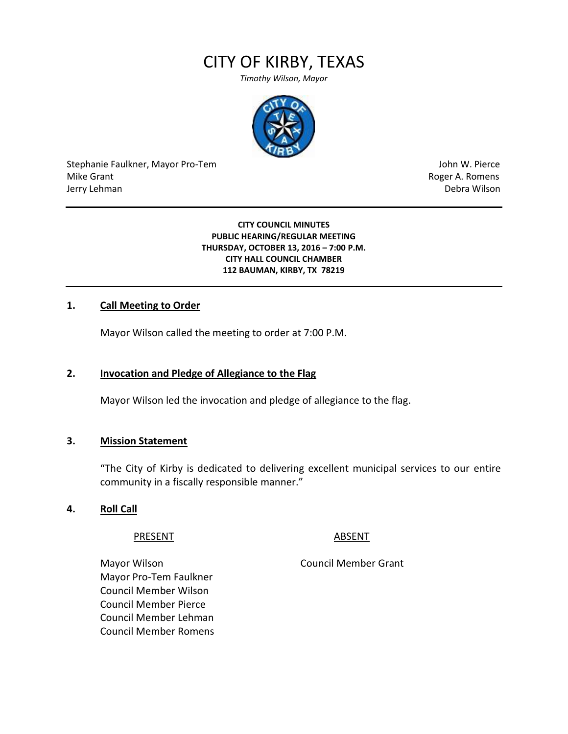# CITY OF KIRBY, TEXAS

*Timothy Wilson, Mayor*



Stephanie Faulkner, Mayor Pro-Tem John W. Pierce Mike Grant **Mike Grant** Roger A. Romens **Contract A. Romens Roger A. Romens** Jerry Lehman Debra Wilson

#### **CITY COUNCIL MINUTES PUBLIC HEARING/REGULAR MEETING THURSDAY, OCTOBER 13, 2016 – 7:00 P.M. CITY HALL COUNCIL CHAMBER 112 BAUMAN, KIRBY, TX 78219**

#### **1. Call Meeting to Order**

Mayor Wilson called the meeting to order at 7:00 P.M.

## **2. Invocation and Pledge of Allegiance to the Flag**

Mayor Wilson led the invocation and pledge of allegiance to the flag.

#### **3. Mission Statement**

"The City of Kirby is dedicated to delivering excellent municipal services to our entire community in a fiscally responsible manner."

#### **4. Roll Call**

#### PRESENT ABSENT

Mayor Wilson **Mayor Wilson** Council Member Grant Mayor Pro-Tem Faulkner Council Member Wilson Council Member Pierce Council Member Lehman Council Member Romens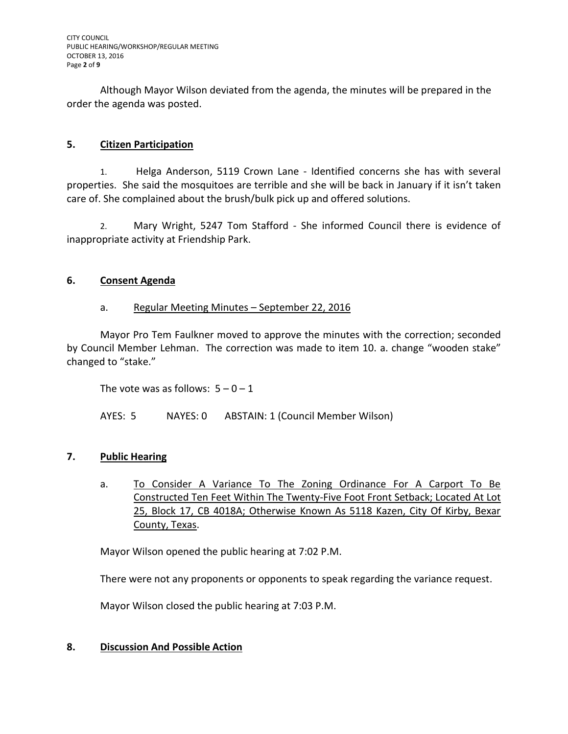Although Mayor Wilson deviated from the agenda, the minutes will be prepared in the order the agenda was posted.

# **5. Citizen Participation**

1. Helga Anderson, 5119 Crown Lane - Identified concerns she has with several properties. She said the mosquitoes are terrible and she will be back in January if it isn't taken care of. She complained about the brush/bulk pick up and offered solutions.

2. Mary Wright, 5247 Tom Stafford - She informed Council there is evidence of inappropriate activity at Friendship Park.

## **6. Consent Agenda**

## a. Regular Meeting Minutes – September 22, 2016

Mayor Pro Tem Faulkner moved to approve the minutes with the correction; seconded by Council Member Lehman. The correction was made to item 10. a. change "wooden stake" changed to "stake."

The vote was as follows:  $5 - 0 - 1$ 

AYES: 5 NAYES: 0 ABSTAIN: 1 (Council Member Wilson)

# **7. Public Hearing**

a. To Consider A Variance To The Zoning Ordinance For A Carport To Be Constructed Ten Feet Within The Twenty-Five Foot Front Setback; Located At Lot 25, Block 17, CB 4018A; Otherwise Known As 5118 Kazen, City Of Kirby, Bexar County, Texas.

Mayor Wilson opened the public hearing at 7:02 P.M.

There were not any proponents or opponents to speak regarding the variance request.

Mayor Wilson closed the public hearing at 7:03 P.M.

# **8. Discussion And Possible Action**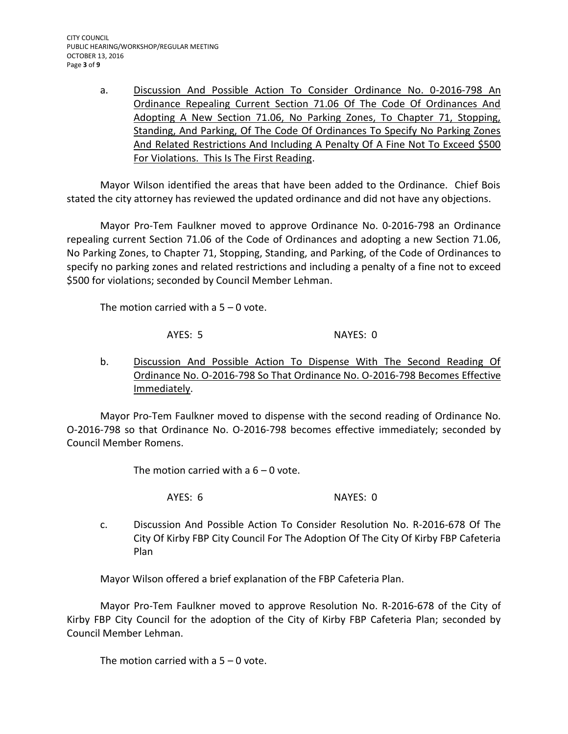a. Discussion And Possible Action To Consider Ordinance No. 0-2016-798 An Ordinance Repealing Current Section 71.06 Of The Code Of Ordinances And Adopting A New Section 71.06, No Parking Zones, To Chapter 71, Stopping, Standing, And Parking, Of The Code Of Ordinances To Specify No Parking Zones And Related Restrictions And Including A Penalty Of A Fine Not To Exceed \$500 For Violations. This Is The First Reading.

Mayor Wilson identified the areas that have been added to the Ordinance. Chief Bois stated the city attorney has reviewed the updated ordinance and did not have any objections.

Mayor Pro-Tem Faulkner moved to approve Ordinance No. 0-2016-798 an Ordinance repealing current Section 71.06 of the Code of Ordinances and adopting a new Section 71.06, No Parking Zones, to Chapter 71, Stopping, Standing, and Parking, of the Code of Ordinances to specify no parking zones and related restrictions and including a penalty of a fine not to exceed \$500 for violations; seconded by Council Member Lehman.

The motion carried with a  $5 - 0$  vote.

AYES: 5 NAYES: 0

b. Discussion And Possible Action To Dispense With The Second Reading Of Ordinance No. O-2016-798 So That Ordinance No. O-2016-798 Becomes Effective Immediately.

Mayor Pro-Tem Faulkner moved to dispense with the second reading of Ordinance No. O-2016-798 so that Ordinance No. O-2016-798 becomes effective immediately; seconded by Council Member Romens.

The motion carried with a  $6 - 0$  vote.

AYES: 6 NAYES: 0

c. Discussion And Possible Action To Consider Resolution No. R-2016-678 Of The City Of Kirby FBP City Council For The Adoption Of The City Of Kirby FBP Cafeteria Plan

Mayor Wilson offered a brief explanation of the FBP Cafeteria Plan.

Mayor Pro-Tem Faulkner moved to approve Resolution No. R-2016-678 of the City of Kirby FBP City Council for the adoption of the City of Kirby FBP Cafeteria Plan; seconded by Council Member Lehman.

The motion carried with a  $5 - 0$  vote.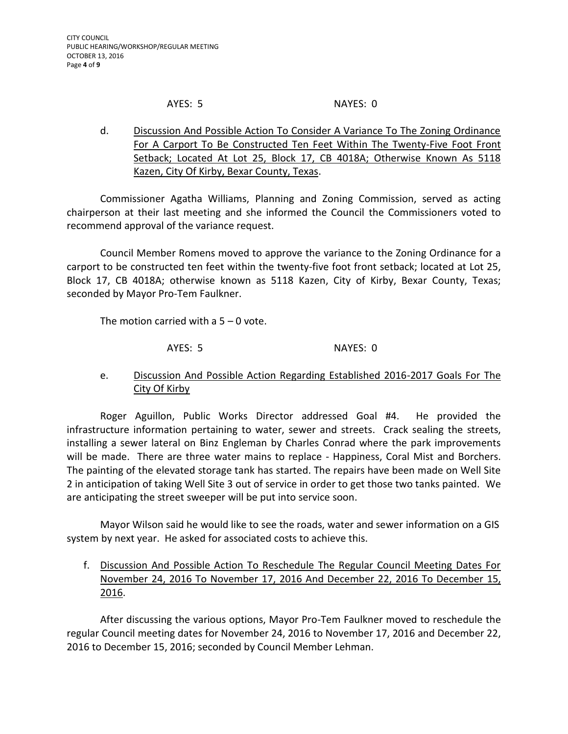#### AYES: 5 NAYES: 0

d. Discussion And Possible Action To Consider A Variance To The Zoning Ordinance For A Carport To Be Constructed Ten Feet Within The Twenty-Five Foot Front Setback; Located At Lot 25, Block 17, CB 4018A; Otherwise Known As 5118 Kazen, City Of Kirby, Bexar County, Texas.

Commissioner Agatha Williams, Planning and Zoning Commission, served as acting chairperson at their last meeting and she informed the Council the Commissioners voted to recommend approval of the variance request.

Council Member Romens moved to approve the variance to the Zoning Ordinance for a carport to be constructed ten feet within the twenty-five foot front setback; located at Lot 25, Block 17, CB 4018A; otherwise known as 5118 Kazen, City of Kirby, Bexar County, Texas; seconded by Mayor Pro-Tem Faulkner.

The motion carried with a  $5 - 0$  vote.

AYES: 5 NAYES: 0

e. Discussion And Possible Action Regarding Established 2016-2017 Goals For The City Of Kirby

Roger Aguillon, Public Works Director addressed Goal #4. He provided the infrastructure information pertaining to water, sewer and streets. Crack sealing the streets, installing a sewer lateral on Binz Engleman by Charles Conrad where the park improvements will be made. There are three water mains to replace - Happiness, Coral Mist and Borchers. The painting of the elevated storage tank has started. The repairs have been made on Well Site 2 in anticipation of taking Well Site 3 out of service in order to get those two tanks painted. We are anticipating the street sweeper will be put into service soon.

Mayor Wilson said he would like to see the roads, water and sewer information on a GIS system by next year. He asked for associated costs to achieve this.

f. Discussion And Possible Action To Reschedule The Regular Council Meeting Dates For November 24, 2016 To November 17, 2016 And December 22, 2016 To December 15, 2016.

After discussing the various options, Mayor Pro-Tem Faulkner moved to reschedule the regular Council meeting dates for November 24, 2016 to November 17, 2016 and December 22, 2016 to December 15, 2016; seconded by Council Member Lehman.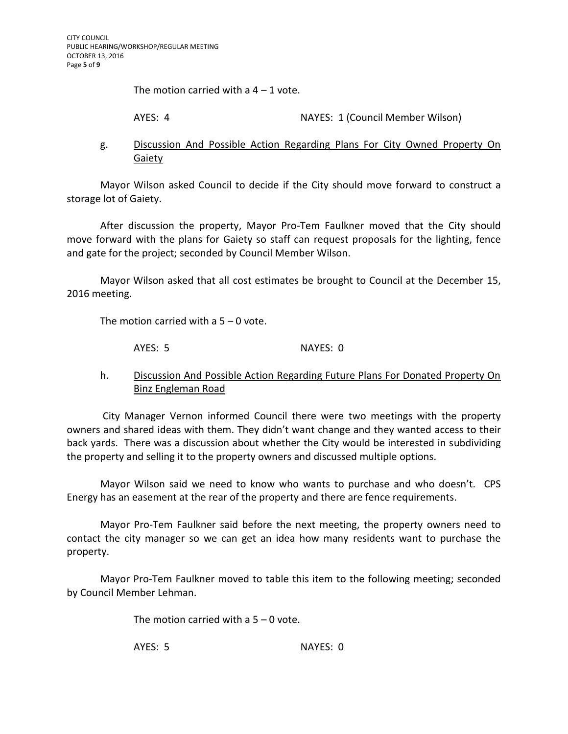The motion carried with a  $4 - 1$  vote.

AYES: 4 NAYES: 1 (Council Member Wilson)

# g. Discussion And Possible Action Regarding Plans For City Owned Property On Gaiety

Mayor Wilson asked Council to decide if the City should move forward to construct a storage lot of Gaiety.

After discussion the property, Mayor Pro-Tem Faulkner moved that the City should move forward with the plans for Gaiety so staff can request proposals for the lighting, fence and gate for the project; seconded by Council Member Wilson.

Mayor Wilson asked that all cost estimates be brought to Council at the December 15, 2016 meeting.

The motion carried with a 5 – 0 vote.

AYES: 5 NAYES: 0

# h. Discussion And Possible Action Regarding Future Plans For Donated Property On Binz Engleman Road

City Manager Vernon informed Council there were two meetings with the property owners and shared ideas with them. They didn't want change and they wanted access to their back yards. There was a discussion about whether the City would be interested in subdividing the property and selling it to the property owners and discussed multiple options.

Mayor Wilson said we need to know who wants to purchase and who doesn't. CPS Energy has an easement at the rear of the property and there are fence requirements.

Mayor Pro-Tem Faulkner said before the next meeting, the property owners need to contact the city manager so we can get an idea how many residents want to purchase the property.

Mayor Pro-Tem Faulkner moved to table this item to the following meeting; seconded by Council Member Lehman.

The motion carried with a  $5 - 0$  vote.

AYES: 5 NAYES: 0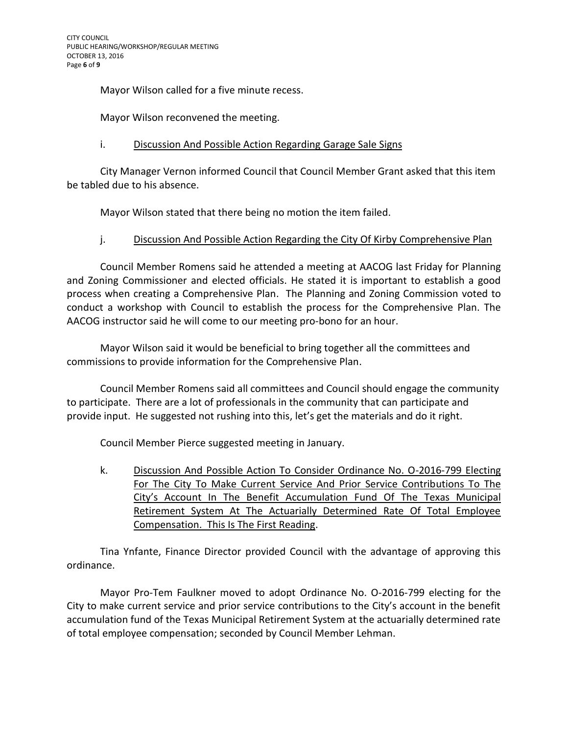Mayor Wilson called for a five minute recess.

Mayor Wilson reconvened the meeting.

# i. Discussion And Possible Action Regarding Garage Sale Signs

City Manager Vernon informed Council that Council Member Grant asked that this item be tabled due to his absence.

Mayor Wilson stated that there being no motion the item failed.

## j. Discussion And Possible Action Regarding the City Of Kirby Comprehensive Plan

Council Member Romens said he attended a meeting at AACOG last Friday for Planning and Zoning Commissioner and elected officials. He stated it is important to establish a good process when creating a Comprehensive Plan. The Planning and Zoning Commission voted to conduct a workshop with Council to establish the process for the Comprehensive Plan. The AACOG instructor said he will come to our meeting pro-bono for an hour.

Mayor Wilson said it would be beneficial to bring together all the committees and commissions to provide information for the Comprehensive Plan.

Council Member Romens said all committees and Council should engage the community to participate. There are a lot of professionals in the community that can participate and provide input. He suggested not rushing into this, let's get the materials and do it right.

Council Member Pierce suggested meeting in January.

k. Discussion And Possible Action To Consider Ordinance No. O-2016-799 Electing For The City To Make Current Service And Prior Service Contributions To The City's Account In The Benefit Accumulation Fund Of The Texas Municipal Retirement System At The Actuarially Determined Rate Of Total Employee Compensation. This Is The First Reading.

Tina Ynfante, Finance Director provided Council with the advantage of approving this ordinance.

Mayor Pro-Tem Faulkner moved to adopt Ordinance No. O-2016-799 electing for the City to make current service and prior service contributions to the City's account in the benefit accumulation fund of the Texas Municipal Retirement System at the actuarially determined rate of total employee compensation; seconded by Council Member Lehman.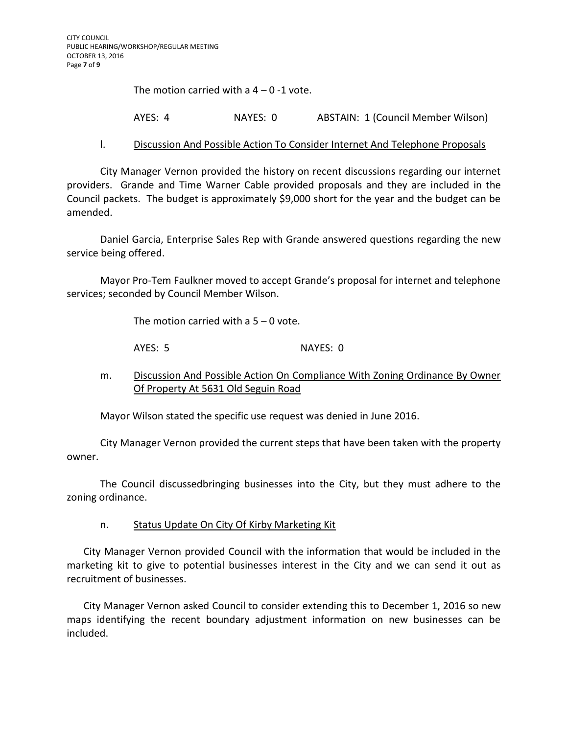The motion carried with a  $4 - 0 - 1$  vote.

AYES: 4 NAYES: 0 ABSTAIN: 1 (Council Member Wilson)

#### l. Discussion And Possible Action To Consider Internet And Telephone Proposals

City Manager Vernon provided the history on recent discussions regarding our internet providers. Grande and Time Warner Cable provided proposals and they are included in the Council packets. The budget is approximately \$9,000 short for the year and the budget can be amended.

Daniel Garcia, Enterprise Sales Rep with Grande answered questions regarding the new service being offered.

Mayor Pro-Tem Faulkner moved to accept Grande's proposal for internet and telephone services; seconded by Council Member Wilson.

The motion carried with a  $5 - 0$  vote.

AYES: 5 NAYES: 0

m. Discussion And Possible Action On Compliance With Zoning Ordinance By Owner Of Property At 5631 Old Seguin Road

Mayor Wilson stated the specific use request was denied in June 2016.

City Manager Vernon provided the current steps that have been taken with the property owner.

The Council discussedbringing businesses into the City, but they must adhere to the zoning ordinance.

n. Status Update On City Of Kirby Marketing Kit

City Manager Vernon provided Council with the information that would be included in the marketing kit to give to potential businesses interest in the City and we can send it out as recruitment of businesses.

City Manager Vernon asked Council to consider extending this to December 1, 2016 so new maps identifying the recent boundary adjustment information on new businesses can be included.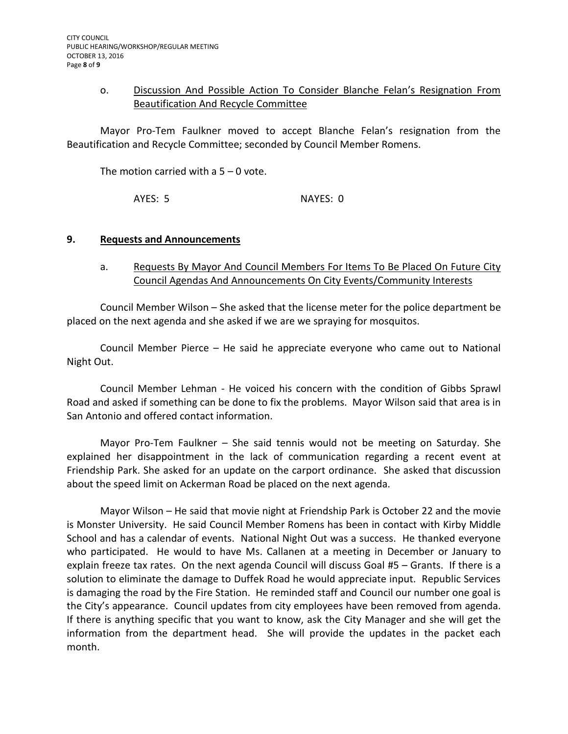#### o. Discussion And Possible Action To Consider Blanche Felan's Resignation From Beautification And Recycle Committee

Mayor Pro-Tem Faulkner moved to accept Blanche Felan's resignation from the Beautification and Recycle Committee; seconded by Council Member Romens.

The motion carried with a  $5 - 0$  vote.

AYES: 5 NAYES: 0

#### **9. Requests and Announcements**

## a. Requests By Mayor And Council Members For Items To Be Placed On Future City Council Agendas And Announcements On City Events/Community Interests

Council Member Wilson – She asked that the license meter for the police department be placed on the next agenda and she asked if we are we spraying for mosquitos.

Council Member Pierce – He said he appreciate everyone who came out to National Night Out.

Council Member Lehman - He voiced his concern with the condition of Gibbs Sprawl Road and asked if something can be done to fix the problems. Mayor Wilson said that area is in San Antonio and offered contact information.

Mayor Pro-Tem Faulkner – She said tennis would not be meeting on Saturday. She explained her disappointment in the lack of communication regarding a recent event at Friendship Park. She asked for an update on the carport ordinance. She asked that discussion about the speed limit on Ackerman Road be placed on the next agenda.

Mayor Wilson – He said that movie night at Friendship Park is October 22 and the movie is Monster University. He said Council Member Romens has been in contact with Kirby Middle School and has a calendar of events. National Night Out was a success. He thanked everyone who participated. He would to have Ms. Callanen at a meeting in December or January to explain freeze tax rates. On the next agenda Council will discuss Goal #5 – Grants. If there is a solution to eliminate the damage to Duffek Road he would appreciate input. Republic Services is damaging the road by the Fire Station. He reminded staff and Council our number one goal is the City's appearance. Council updates from city employees have been removed from agenda. If there is anything specific that you want to know, ask the City Manager and she will get the information from the department head. She will provide the updates in the packet each month.